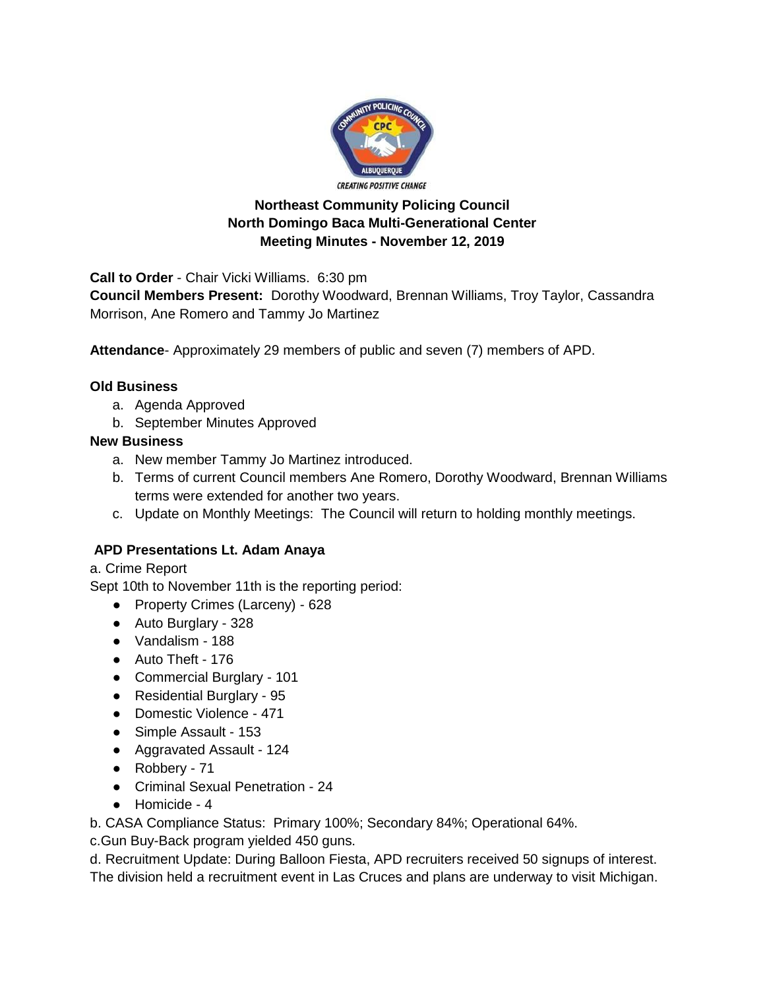

## **Northeast Community Policing Council North Domingo Baca Multi-Generational Center Meeting Minutes - November 12, 2019**

**Call to Order** - Chair Vicki Williams. 6:30 pm

**Council Members Present:** Dorothy Woodward, Brennan Williams, Troy Taylor, Cassandra Morrison, Ane Romero and Tammy Jo Martinez

**Attendance**- Approximately 29 members of public and seven (7) members of APD.

## **Old Business**

- a. Agenda Approved
- b. September Minutes Approved

## **New Business**

- a. New member Tammy Jo Martinez introduced.
- b. Terms of current Council members Ane Romero, Dorothy Woodward, Brennan Williams terms were extended for another two years.
- c. Update on Monthly Meetings: The Council will return to holding monthly meetings.

## **APD Presentations Lt. Adam Anaya**

a. Crime Report

Sept 10th to November 11th is the reporting period:

- Property Crimes (Larceny) 628
- Auto Burglary 328
- Vandalism 188
- Auto Theft 176
- Commercial Burglary 101
- Residential Burglary 95
- Domestic Violence 471
- Simple Assault 153
- Aggravated Assault 124
- Robbery 71
- Criminal Sexual Penetration 24
- Homicide 4

b. CASA Compliance Status: Primary 100%; Secondary 84%; Operational 64%.

c.Gun Buy-Back program yielded 450 guns.

d. Recruitment Update: During Balloon Fiesta, APD recruiters received 50 signups of interest.

The division held a recruitment event in Las Cruces and plans are underway to visit Michigan.